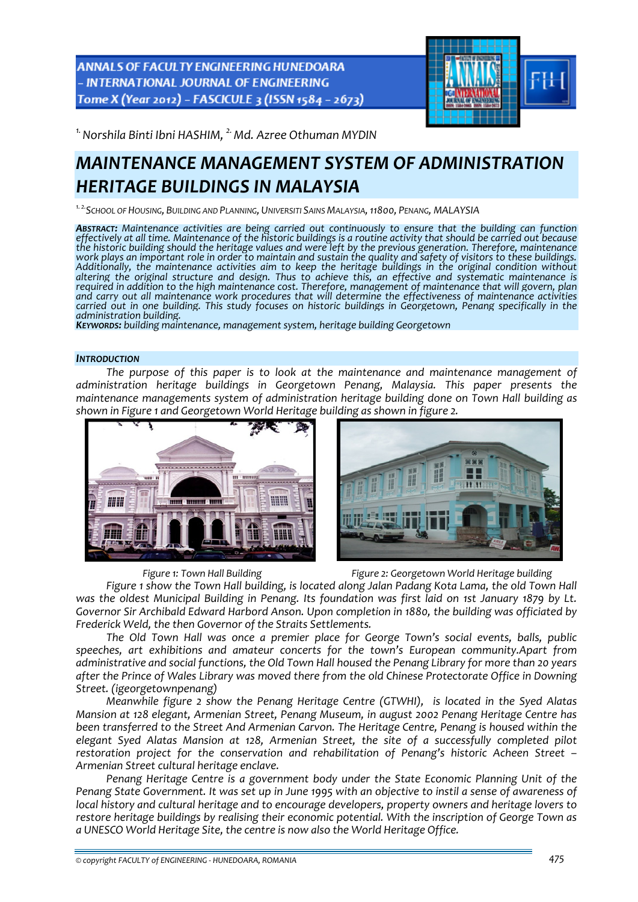ANNALS OF FACULTY ENGINEERING HUNEDOARA - INTERNATIONAL JOURNAL OF ENGINEERING Tome X (Year 2012) - FASCICULE 3 (ISSN 1584 - 2673)



<sup>1.</sup> Norshila Binti Ibni HASHIM, <sup>2.</sup> Md. Azree Othuman MYDIN

# *MAINTENANCE MANAGEMENT SYSTEM OF ADMINISTRATION HERITAGE BUILDINGS IN MALAYSIA*

*1. 2.SCHOOL OF HOUSING, BUILDING AND PLANNING, UNIVERSITI SAINS MALAYSIA,11800, PENANG, MALAYSIA*

**Abstract:** Maintenance activities are being carried out continuously to ensure that the building can function<br>effectively at all time. Maintenance of the historic buildings is a routine activity that should be carried out the historic building should the heritage values and were left by the previous generation. Therefore, maintenance work plays an important role in order to maintain and sustain the quality and safety of visitors to these buildings.<br>Additionally, the maintenance activities aim to keep the heritage buildings in the original condition wit *altering the original structure and design. Thus to achieve this, an effective and systematic maintenance is* required in addition to the high maintenance cost. Therefore, management of maintenance that will govern, plan<br>and carry out all maintenance work procedures that will determine the effectiveness of maintenance activities and carry out all maintenance work procedures that will determine the effectiveness of maintenance activities<br>carried out in one building. This study focuses on historic buildings in Georgetown, Penang specifically in the<br>

*administration building. KEYWORDS: building maintenance, management system, heritage building Georgetown*

## *INTRODUCTION*

*The purpose of this paper is to look at the maintenance and maintenance management of administration heritage buildings in Georgetown Penang, Malaysia. This paper presents the maintenance managements system of administration heritage building done on Town Hall building as shown in Figure 1 and Georgetown World Heritage building as shown in figure 2.* 





*Figure 1: Town Hall Building Figure 2: Georgetown World Heritage building*

*Figure 1 show the Town Hall building, is located along Jalan Padang Kota Lama, the old Town Hall* was the oldest Municipal Building in Penang. Its foundation was first laid on 1st January 1879 by Lt. *Governor Sir Archibald Edward Harbord Anson. Upon completion in 1880, the building was officiated by Frederick Weld, the then Governor of the Straits Settlements.* 

*The Old Town Hall was once a premier place for George Town's social events, balls, public speeches, art exhibitions and amateur concerts for the town's European community.Apart from administrative and social functions, the Old Town Hall housed the Penang Library for more than 20 years after the Prince of Wales Library was moved there from the old Chinese Protectorate Office in Downing Street. (igeorgetownpenang)*

*Meanwhile figure 2 show the Penang Heritage Centre (GTWHI), is located in the Syed Alatas Mansion at 128 elegant, Armenian Street, Penang Museum, in august 2002 Penang Heritage Centre has been transferred to the Street And Armenian Carvon. The Heritage Centre, Penang is housed within the elegant Syed Alatas Mansion at 128, Armenian Street, the site of a successfully completed pilot restoration project for the conservation and rehabilitation of Penang's historic Acheen Street – Armenian Street cultural heritage enclave.*

*Penang Heritage Centre is a government body under the State Economic Planning Unit of the* Penang State Government. It was set up in June 1995 with an objective to instil a sense of awareness of *local history and cultural heritage and to encourage developers, property owners and heritage lovers to restore heritage buildings by realising their economic potential. With the inscription of George Town as a UNESCO World Heritage Site, the centre is now also the World Heritage Office.*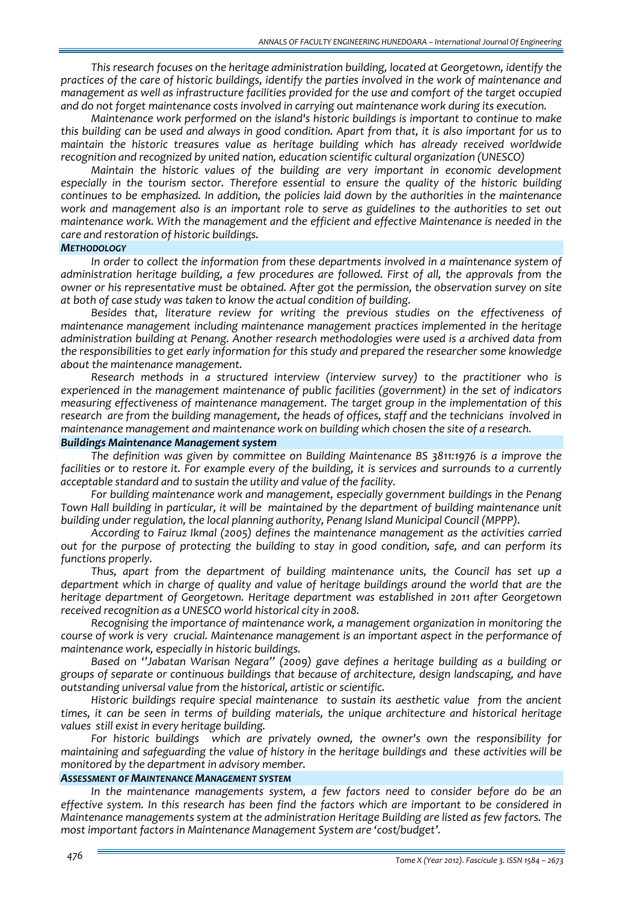*This research focuses on the heritage administration building, located at Georgetown, identify the practices of the care of historic buildings, identify the parties involved in the work of maintenance and management as well as infrastructure facilities provided for the use and comfort of the target occupied and do not forget maintenance costs involved in carrying out maintenance work during its execution.*

*Maintenance work performed on the island's historic buildings is important to continue to make* this building can be used and always in good condition. Apart from that, it is also important for us to *maintain the historic treasures value as heritage building which has already received worldwide recognition and recognized by united nation, education scientific cultural organization (UNESCO)*

*Maintain the historic values of the building are very important in economic development especially in the tourism sector. Therefore essential to ensure the quality of the historic building continues to be emphasized. In addition, the policies laid down by the authorities in the maintenance work and management also is an important role to serve as guidelines to the authorities to set out maintenance work. With the management and the efficient and effective Maintenance is needed in the care and restoration of historic buildings.*

#### *METHODOLOGY*

*In order to collect the information from these departments involved in a maintenance system of administration heritage building, a few procedures are followed. First of all, the approvals from the owner or his representative must be obtained. After got the permission, the observation survey on site at both of case study was taken to know the actual condition of building.* 

*Besides that, literature review for writing the previous studies on the effectiveness of maintenance management including maintenance management practices implemented in the heritage administration building at Penang. Another research methodologies were used is a archived data from the responsibilities to get early information for this study and prepared the researcher some knowledge about the maintenance management.*

*Research methods in a structured interview (interview survey) to the practitioner who is experienced in the management maintenance of public facilities (government) in the set of indicators measuring effectiveness of maintenance management. The target group in the implementation of this* research are from the building management, the heads of offices, staff and the technicians involved in *maintenance management and maintenance work on building which chosen the site of a research.*

#### *Buildings Maintenance Management system*

*The definition was given by committee on Building Maintenance BS 3811:1976 is a improve the* facilities or to restore it. For example every of the building, it is services and surrounds to a currently *acceptable standard and to sustain the utility and value of the facility.*

*For building maintenance work and management, especially government buildings in the Penang Town Hall building in particular, it will be maintained by the department of building maintenance unit building under regulation, the local planning authority, Penang Island Municipal Council (MPPP).* 

*According to Fairuz Ikmal (2005) defines the maintenance management as the activities carried* out for the purpose of protecting the building to stay in good condition, safe, and can perform its *functions properly.*

*Thus, apart from the department of building maintenance units, the Council has set up a department which in charge of quality and value of heritage buildings around the world that are the heritage department of Georgetown. Heritage department was established in 2011 after Georgetown received recognition as a UNESCO world historical city in 2008.*

*Recognising the importance of maintenance work, a management organization in monitoring the course of work is very crucial. Maintenance management is an important aspect in the performance of maintenance work, especially in historic buildings.*

*Based on ''Jabatan Warisan Negara'' (2009) gave defines a heritage building as a building or groups of separate or continuous buildings that because of architecture, design landscaping, and have outstanding universal value from the historical, artistic or scientific.* 

*Historic buildings require special maintenance to sustain its aesthetic value from the ancient times, it can be seen in terms of building materials, the unique architecture and historical heritage values still exist in every heritage building.*

*For historic buildings which are privately owned, the owner's own the responsibility for maintaining and safeguarding the value of history in the heritage buildings and these activities will be monitored by the department in advisory member.*

## *ASSESSMENT 0F MAINTENANCE MANAGEMENT SYSTEM*

*In the maintenance managements system, a few factors need to consider before do be an effective system. In this research has been find the factors which are important to be considered in Maintenance managements system at the administration Heritage Building are listed as few factors. The most important factors in Maintenance Management System are 'cost/budget'.*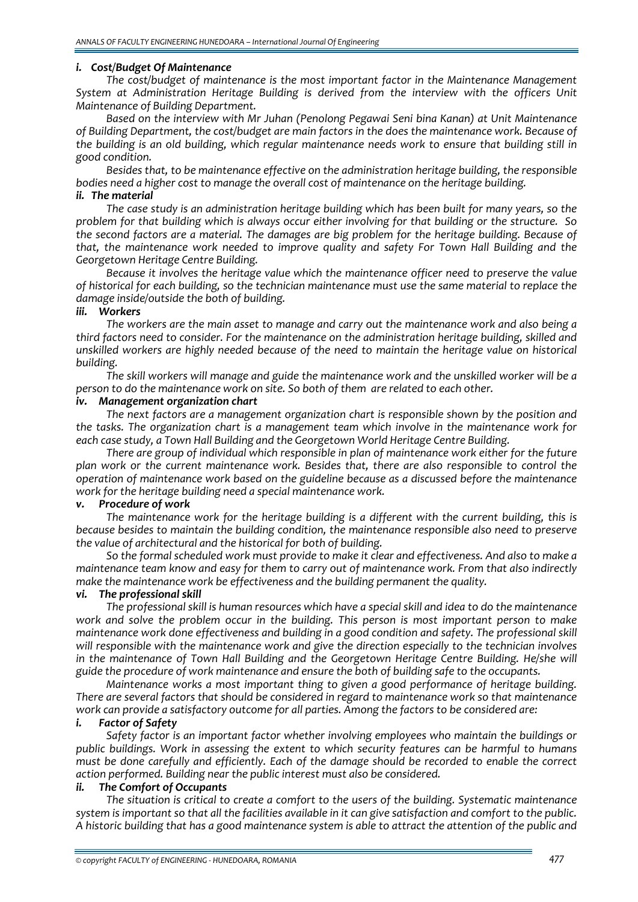## *i. Cost/Budget Of Maintenance*

*The cost/budget of maintenance is the most important factor in the Maintenance Management System at Administration Heritage Building is derived from the interview with the officers Unit Maintenance of Building Department.*

*Based on the interview with Mr Juhan (Penolong Pegawai Seni bina Kanan) at Unit Maintenance of Building Department, the cost/budget are main factors in the does the maintenance work. Because of the building is an old building, which regular maintenance needs work to ensure that building still in good condition.* 

*Besides that, to be maintenance effective on the administration heritage building, the responsible bodies need a higher cost to manage the overall cost of maintenance on the heritage building.*

## *ii. The material*

*The case study is an administration heritage building which has been built for many years, so the* problem for that building which is always occur either involving for that building or the structure. So *the second factors are a material. The damages are big problem for the heritage building. Because of that, the maintenance work needed to improve quality and safety For Town Hall Building and the Georgetown Heritage Centre Building.* 

*Because it involves the heritage value which the maintenance officer need to preserve the value of historical for each building, so the technician maintenance must use the same material to replace the damage inside/outside the both of building.*

#### *iii. Workers*

*The workers are the main asset to manage and carry out the maintenance work and also being a third factors need to consider. For the maintenance on the administration heritage building, skilled and unskilled workers are highly needed because of the need to maintain the heritage value on historical building.*

*The skill workers will manage and guide the maintenance work and the unskilled worker will be a person to do the maintenance work on site. So both of them are related to each other.*

#### *iv. Management organization chart*

*The next factors are a management organization chart is responsible shown by the position and the tasks. The organization chart is a management team which involve in the maintenance work for each case study, a Town Hall Building and the Georgetown World Heritage Centre Building.* 

*There are group of individual which responsible in plan of maintenance work either for the future plan work or the current maintenance work. Besides that, there are also responsible to control the operation of maintenance work based on the guideline because as a discussed before the maintenance work for the heritage building need a special maintenance work.*

# *v. Procedure of work*

*The maintenance work for the heritage building is a different with the current building, this is because besides to maintain the building condition, the maintenance responsible also need to preserve the value of architectural and the historical for both of building.*

*So the formal scheduled work must provide to make it clear and effectiveness. And also to make a maintenance team know and easy for them to carry out of maintenance work. From that also indirectly make the maintenance work be effectiveness and the building permanent the quality.*

# *vi. The professional skill*

*The professional skill is human resources which have a special skill and idea to do the maintenance work and solve the problem occur in the building. This person is most important person to make maintenance work done effectiveness and building in a good condition and safety. The professional skill will responsible with the maintenance work and give the direction especially to the technician involves in the maintenance of Town Hall Building and the Georgetown Heritage Centre Building. He/she will guide the procedure of work maintenance and ensure the both of building safe to the occupants.*

*Maintenance works a most important thing to given a good performance of heritage building. There are several factors that should be considered in regard to maintenance work so that maintenance work can provide a satisfactory outcome for all parties. Among the factors to be considered are:*

# *i. Factor of Safety*

*Safety factor is an important factor whether involving employees who maintain the buildings or public buildings. Work in assessing the extent to which security features can be harmful to humans must be done carefully and efficiently. Each of the damage should be recorded to enable the correct action performed. Building near the public interest must also be considered.*

# *ii. The Comfort of Occupants*

*The situation is critical to create a comfort to the users of the building. Systematic maintenance* system is important so that all the facilities available in it can give satisfaction and comfort to the public. A historic building that has a good maintenance system is able to attract the attention of the public and